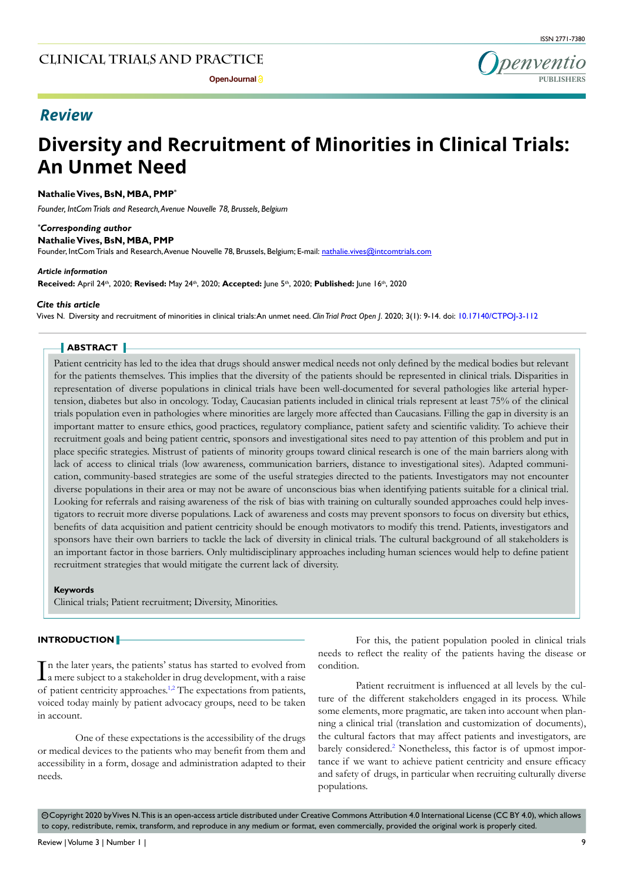# *Review*

# **Diversity and Recruitment of Minorities in Clinical Trials: An Unmet Need**

## **Nathalie Vives, BsN, MBA, PMP\***

*Founder, IntCom Trials and Research, Avenue Nouvelle 78, Brussels, Belgium*

*\* Corresponding author* **Nathalie Vives, BsN, MBA, PMP**

Founder, IntCom Trials and Research, Avenue Nouvelle 78, Brussels, Belgium; E-mail: nathalie.vives@intcomtrials.com

#### *Article information*

**Received:** April 24th, 2020; **Revised:** May 24th, 2020; **Accepted:** June 5th, 2020; **Published:** June 16th, 2020

#### *Cite this article*

Vives N. Diversity and recruitment of minorities in clinical trials: An unmet need. *Clin Trial Pract Open J*. 2020; 3(1): 9-14. doi: [10.17140/CTPOJ-3-112](http://dx.doi.org/10.17140/CTPOJ-3-112)

# **ABSTRACT**

Patient centricity has led to the idea that drugs should answer medical needs not only defined by the medical bodies but relevant for the patients themselves. This implies that the diversity of the patients should be represented in clinical trials. Disparities in representation of diverse populations in clinical trials have been well-documented for several pathologies like arterial hypertension, diabetes but also in oncology. Today, Caucasian patients included in clinical trials represent at least 75% of the clinical trials population even in pathologies where minorities are largely more affected than Caucasians. Filling the gap in diversity is an important matter to ensure ethics, good practices, regulatory compliance, patient safety and scientific validity. To achieve their recruitment goals and being patient centric, sponsors and investigational sites need to pay attention of this problem and put in place specific strategies. Mistrust of patients of minority groups toward clinical research is one of the main barriers along with lack of access to clinical trials (low awareness, communication barriers, distance to investigational sites). Adapted communication, community-based strategies are some of the useful strategies directed to the patients. Investigators may not encounter diverse populations in their area or may not be aware of unconscious bias when identifying patients suitable for a clinical trial. Looking for referrals and raising awareness of the risk of bias with training on culturally sounded approaches could help investigators to recruit more diverse populations. Lack of awareness and costs may prevent sponsors to focus on diversity but ethics, benefits of data acquisition and patient centricity should be enough motivators to modify this trend. Patients, investigators and sponsors have their own barriers to tackle the lack of diversity in clinical trials. The cultural background of all stakeholders is an important factor in those barriers. Only multidisciplinary approaches including human sciences would help to define patient recruitment strategies that would mitigate the current lack of diversity.

#### **Keywords**

Clinical trials; Patient recruitment; Diversity, Minorities.

#### **INTRODUCTION**

 $\prod$ n the later years, the patients' status has started to evolved from<br>a mere subject to a stakeholder in drug development, with a raise a mere subject to a stakeholder in drug development, with a raise of patient centricity approaches.[1,2](#page-3-0) The expectations from patients, voiced today mainly by patient advocacy groups, need to be taken in account.

One of these expectations is the accessibility of the drugs or medical devices to the patients who may benefit from them and accessibility in a form, dosage and administration adapted to their needs.

For this, the patient population pooled in clinical trials needs to reflect the reality of the patients having the disease or condition.

Patient recruitment is influenced at all levels by the culture of the different stakeholders engaged in its process. While some elements, more pragmatic, are taken into account when planning a clinical trial (translation and customization of documents), the cultural factors that may affect patients and investigators, are barely considered.<sup>[2](#page-3-0)</sup> Nonetheless, this factor is of upmost importance if we want to achieve patient centricity and ensure efficacy and safety of drugs, in particular when recruiting culturally diverse populations.

 $\circledcirc$  Copyright 2020 by Vives N. This is an open-access article distributed under Creative Commons Attribution 4.0 International License (CC BY 4.0), which allows to copy, redistribute, remix, transform, and reproduce in any medium or format, even commercially, provided the original work is properly cited.

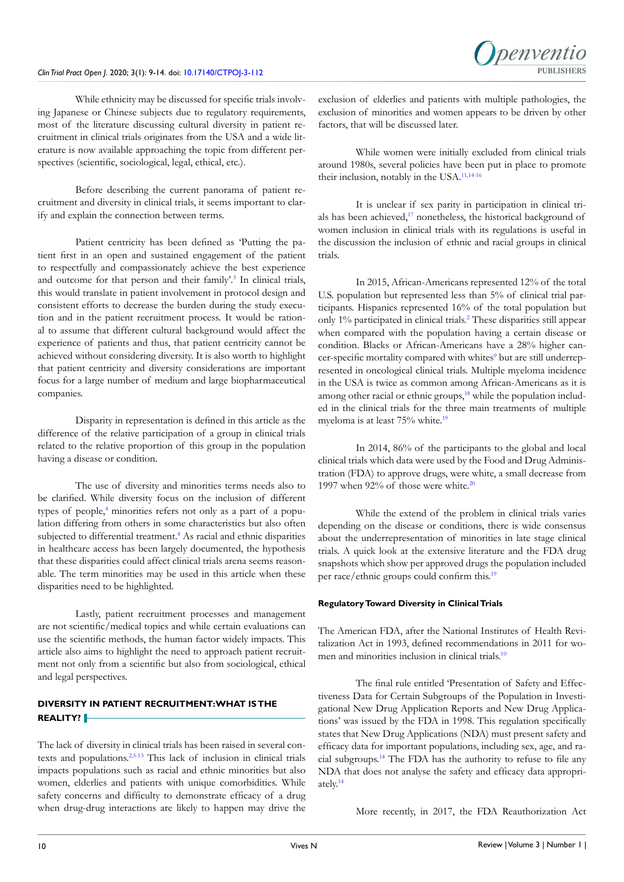#### *Clin Trial Pract Open J*. 2020; 3(1): 9-14. doi: [10.17140/CTPOJ-3-112](http://dx.doi.org/10.17140/CTPOJ-3-112)

While ethnicity may be discussed for specific trials involving Japanese or Chinese subjects due to regulatory requirements, most of the literature discussing cultural diversity in patient recruitment in clinical trials originates from the USA and a wide literature is now available approaching the topic from different perspectives (scientific, sociological, legal, ethical, etc.).

Before describing the current panorama of patient recruitment and diversity in clinical trials, it seems important to clarify and explain the connection between terms.

Patient centricity has been defined as 'Putting the patient first in an open and sustained engagement of the patient to respectfully and compassionately achieve the best experience and outcome for that person and their family'.<sup>[3](#page-3-1)</sup> In clinical trials, this would translate in patient involvement in protocol design and consistent efforts to decrease the burden during the study execution and in the patient recruitment process. It would be rational to assume that different cultural background would affect the experience of patients and thus, that patient centricity cannot be achieved without considering diversity. It is also worth to highlight that patient centricity and diversity considerations are important focus for a large number of medium and large biopharmaceutical companies.

Disparity in representation is defined in this article as the difference of the relative participation of a group in clinical trials related to the relative proportion of this group in the population having a disease or condition.

The use of diversity and minorities terms needs also to be clarified. While diversity focus on the inclusion of different types of people,<sup>4</sup> minorities refers not only as a part of a population differing from others in some characteristics but also often subjected to differential treatment.<sup>[4](#page-4-0)</sup> As racial and ethnic disparities in healthcare access has been largely documented, the hypothesis that these disparities could affect clinical trials arena seems reasonable. The term minorities may be used in this article when these disparities need to be highlighted.

Lastly, patient recruitment processes and management are not scientific/medical topics and while certain evaluations can use the scientific methods, the human factor widely impacts. This article also aims to highlight the need to approach patient recruitment not only from a scientific but also from sociological, ethical and legal perspectives.

# **DIVERSITY IN PATIENT RECRUITMENT: WHAT IS THE REALITY?**

The lack of diversity in clinical trials has been raised in several contexts and populations.[2,](#page-3-2)[5-13](#page-4-1) This lack of inclusion in clinical trials impacts populations such as racial and ethnic minorities but also women, elderlies and patients with unique comorbidities. While safety concerns and difficulty to demonstrate efficacy of a drug when drug-drug interactions are likely to happen may drive the exclusion of elderlies and patients with multiple pathologies, the exclusion of minorities and women appears to be driven by other factors, that will be discussed later.

While women were initially excluded from clinical trials around 1980s, several policies have been put in place to promote their inclusion, notably in the USA.<sup>11,[14-16](#page-4-3)</sup>

It is unclear if sex parity in participation in clinical trials has been achieved,<sup>17</sup> nonetheless, the historical background of women inclusion in clinical trials with its regulations is useful in the discussion the inclusion of ethnic and racial groups in clinical trials.

In 2015, African-Americans represented 12% of the total U.S. population but represented less than 5% of clinical trial participants. Hispanics represented 16% of the total population but only 1% participated in clinical trials.[2](#page-3-2) These disparities still appear when compared with the population having a certain disease or condition. Blacks or African-Americans have a 28% higher can-cer-specific mortality compared with whites<sup>[9](#page-4-5)</sup> but are still underrepresented in oncological clinical trials. Multiple myeloma incidence in the USA is twice as common among African-Americans as it is among other racial or ethnic groups,<sup>18</sup> while the population included in the clinical trials for the three main treatments of multiple myeloma is at least 75% white.<sup>[19](#page-4-7)</sup>

In 2014, 86% of the participants to the global and local clinical trials which data were used by the Food and Drug Administration (FDA) to approve drugs, were white, a small decrease from 1997 when  $92\%$  of those were white.<sup>[20](#page-4-8)</sup>

While the extend of the problem in clinical trials varies depending on the disease or conditions, there is wide consensus about the underrepresentation of minorities in late stage clinical trials. A quick look at the extensive literature and the FDA drug snapshots which show per approved drugs the population included per race/ethnic groups could confirm this.<sup>[19](#page-4-7)</sup>

# **Regulatory Toward Diversity in Clinical Trials**

The American FDA, after the National Institutes of Health Revitalization Act in 1993, defined recommendations in 2011 for wo-men and minorities inclusion in clinical trials.<sup>[10](#page-4-9)</sup>

The final rule entitled 'Presentation of Safety and Effectiveness Data for Certain Subgroups of the Population in Investigational New Drug Application Reports and New Drug Applications' was issued by the FDA in 1998. This regulation specifically states that New Drug Applications (NDA) must present safety and efficacy data for important populations, including sex, age, and racial subgroups.[14](#page-4-3) The FDA has the authority to refuse to file any NDA that does not analyse the safety and efficacy data appropriately.[14](#page-4-3)

More recently, in 2017, the FDA Reauthorization Act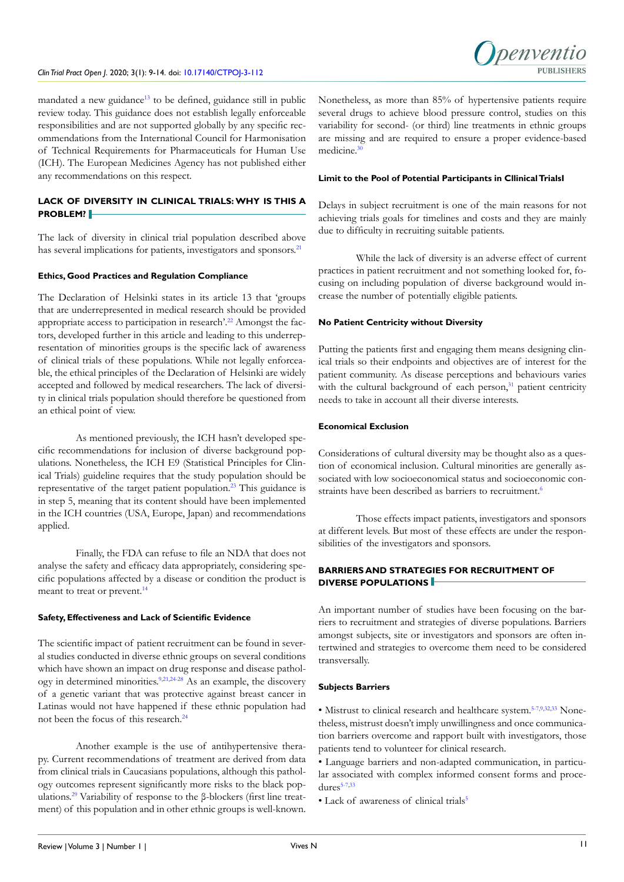#### *Clin Trial Pract Open J*. 2020; 3(1): 9-14. doi: [10.17140/CTPOJ-3-112](http://dx.doi.org/10.17140/CTPOJ-3-112)



mandated a new guidance<sup>[13](#page-4-10)</sup> to be defined, guidance still in public review today. This guidance does not establish legally enforceable responsibilities and are not supported globally by any specific recommendations from the International Council for Harmonisation of Technical Requirements for Pharmaceuticals for Human Use (ICH). The European Medicines Agency has not published either any recommendations on this respect.

# **LACK OF DIVERSITY IN CLINICAL TRIALS: WHY IS THIS A PROBLEM?**

The lack of diversity in clinical trial population described above has several implications for patients, investigators and sponsors.<sup>[21](#page-4-11)</sup>

## **Ethics, Good Practices and Regulation Compliance**

The Declaration of Helsinki states in its article 13 that 'groups that are underrepresented in medical research should be provided appropriate access to participation in research'.[22](#page-4-12) Amongst the factors, developed further in this article and leading to this underrepresentation of minorities groups is the specific lack of awareness of clinical trials of these populations. While not legally enforceable, the ethical principles of the Declaration of Helsinki are widely accepted and followed by medical researchers. The lack of diversity in clinical trials population should therefore be questioned from an ethical point of view.

As mentioned previously, the ICH hasn't developed specific recommendations for inclusion of diverse background populations. Nonetheless, the ICH E9 (Statistical Principles for Clinical Trials) guideline requires that the study population should be representative of the target patient population.<sup>[23](#page-4-13)</sup> This guidance is in step 5, meaning that its content should have been implemented in the ICH countries (USA, Europe, Japan) and recommendations applied.

Finally, the FDA can refuse to file an NDA that does not analyse the safety and efficacy data appropriately, considering specific populations affected by a disease or condition the product is meant to treat or prevent.<sup>[14](#page-4-3)</sup>

#### **Safety, Effectiveness and Lack of Scientific Evidence**

The scientific impact of patient recruitment can be found in several studies conducted in diverse ethnic groups on several conditions which have shown an impact on drug response and disease pathol-ogy in determined minorities.<sup>9,[21,](#page-4-11)24-28</sup> As an example, the discovery of a genetic variant that was protective against breast cancer in Latinas would not have happened if these ethnic population had not been the focus of this research.<sup>[24](#page-4-14)</sup>

Another example is the use of antihypertensive therapy. Current recommendations of treatment are derived from data from clinical trials in Caucasians populations, although this pathology outcomes represent significantly more risks to the black populations.[29](#page-5-0) Variability of response to the β-blockers (first line treatment) of this population and in other ethnic groups is well-known. Nonetheless, as more than 85% of hypertensive patients require several drugs to achieve blood pressure control, studies on this variability for second- (or third) line treatments in ethnic groups are missing and are required to ensure a proper evidence-based medicine.<sup>[30](#page-5-1)</sup>

#### **Limit to the Pool of Potential Participants in Cllinical TrialsI**

Delays in subject recruitment is one of the main reasons for not achieving trials goals for timelines and costs and they are mainly due to difficulty in recruiting suitable patients.

While the lack of diversity is an adverse effect of current practices in patient recruitment and not something looked for, focusing on including population of diverse background would increase the number of potentially eligible patients.

#### **No Patient Centricity without Diversity**

Putting the patients first and engaging them means designing clinical trials so their endpoints and objectives are of interest for the patient community. As disease perceptions and behaviours varies with the cultural background of each person, $31$  patient centricity needs to take in account all their diverse interests.

#### **Economical Exclusion**

Considerations of cultural diversity may be thought also as a question of economical inclusion. Cultural minorities are generally associated with low socioeconomical status and socioeconomic constraints have been described as barriers to recruitment.<sup>6</sup>

Those effects impact patients, investigators and sponsors at different levels. But most of these effects are under the responsibilities of the investigators and sponsors.

# **BARRIERS AND STRATEGIES FOR RECRUITMENT OF DIVERSE POPULATIONS**

An important number of studies have been focusing on the barriers to recruitment and strategies of diverse populations. Barriers amongst subjects, site or investigators and sponsors are often intertwined and strategies to overcome them need to be considered transversally.

#### **Subjects Barriers**

• Mistrust to clinical research and healthcare system.<sup>[5-7,](#page-4-1)[9,](#page-4-5)[32,33](#page-5-3)</sup> Nonetheless, mistrust doesn't imply unwillingness and once communication barriers overcome and rapport built with investigators, those patients tend to volunteer for clinical research.

• Language barriers and non-adapted communication, in particular associated with complex informed consent forms and proce- $dures<sup>5-7,33</sup>$  $dures<sup>5-7,33</sup>$  $dures<sup>5-7,33</sup>$  $dures<sup>5-7,33</sup>$ 

• Lack of awareness of clinical trials<sup>5</sup>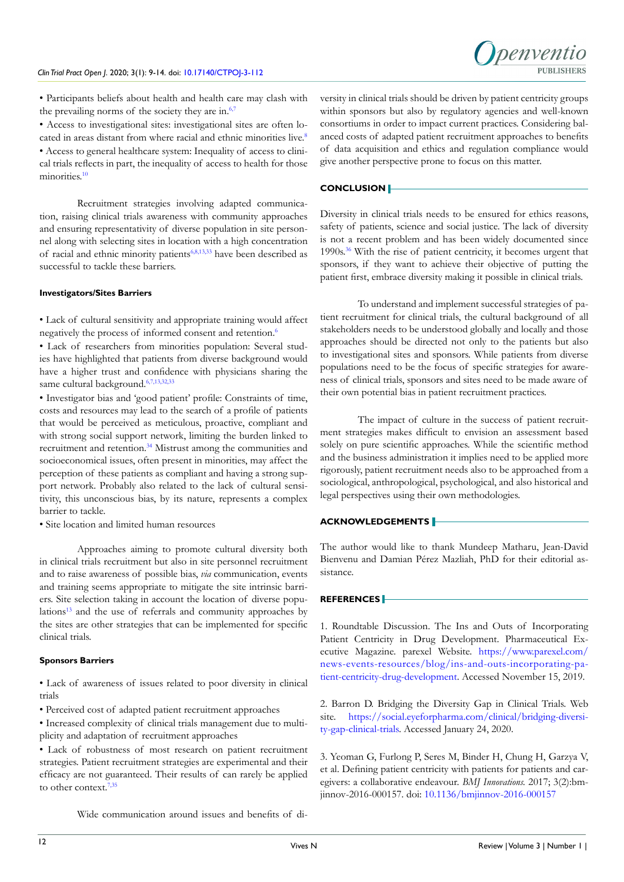

• Participants beliefs about health and health care may clash with the prevailing norms of the society they are in.<sup>[6,7](#page-4-15)</sup>

• Access to investigational sites: investigational sites are often lo-cated in areas distant from where racial and ethnic minorities live.<sup>[8](#page-4-16)</sup> • Access to general healthcare system: Inequality of access to clinical trials reflects in part, the inequality of access to health for those minorities.<sup>[10](#page-4-9)</sup>

Recruitment strategies involving adapted communication, raising clinical trials awareness with community approaches and ensuring representativity of diverse population in site personnel along with selecting sites in location with a high concentration of racial and ethnic minority patients[6,](#page-4-15)[8,](#page-4-16)[13,](#page-4-10)[33](#page-5-4) have been described as successful to tackle these barriers.

#### **Investigators/Sites Barriers**

• Lack of cultural sensitivity and appropriate training would affect negatively the process of informed consent and retention.<sup>6</sup>

• Lack of researchers from minorities population: Several studies have highlighted that patients from diverse background would have a higher trust and confidence with physicians sharing the same cultural background[.6,7,](#page-4-15)[13,](#page-4-10)[32,33](#page-5-3)

• Investigator bias and 'good patient' profile: Constraints of time, costs and resources may lead to the search of a profile of patients that would be perceived as meticulous, proactive, compliant and with strong social support network, limiting the burden linked to recruitment and retention.[34](#page-5-5) Mistrust among the communities and socioeconomical issues, often present in minorities, may affect the perception of these patients as compliant and having a strong support network. Probably also related to the lack of cultural sensitivity, this unconscious bias, by its nature, represents a complex barrier to tackle.

• Site location and limited human resources

Approaches aiming to promote cultural diversity both in clinical trials recruitment but also in site personnel recruitment and to raise awareness of possible bias, *via* communication, events and training seems appropriate to mitigate the site intrinsic barriers. Site selection taking in account the location of diverse populations<sup>13</sup> and the use of referrals and community approaches by the sites are other strategies that can be implemented for specific clinical trials.

#### **Sponsors Barriers**

• Lack of awareness of issues related to poor diversity in clinical trials

• Perceived cost of adapted patient recruitment approaches

• Increased complexity of clinical trials management due to multiplicity and adaptation of recruitment approaches

• Lack of robustness of most research on patient recruitment strategies. Patient recruitment strategies are experimental and their efficacy are not guaranteed. Their results of can rarely be applied to other context.<sup>7,[35](#page-5-6)</sup>

versity in clinical trials should be driven by patient centricity groups within sponsors but also by regulatory agencies and well-known consortiums in order to impact current practices. Considering balanced costs of adapted patient recruitment approaches to benefits of data acquisition and ethics and regulation compliance would give another perspective prone to focus on this matter.

#### **CONCLUSION**

Diversity in clinical trials needs to be ensured for ethics reasons, safety of patients, science and social justice. The lack of diversity is not a recent problem and has been widely documented since 1990s.[36](#page-5-7) With the rise of patient centricity, it becomes urgent that sponsors, if they want to achieve their objective of putting the patient first, embrace diversity making it possible in clinical trials.

To understand and implement successful strategies of patient recruitment for clinical trials, the cultural background of all stakeholders needs to be understood globally and locally and those approaches should be directed not only to the patients but also to investigational sites and sponsors. While patients from diverse populations need to be the focus of specific strategies for awareness of clinical trials, sponsors and sites need to be made aware of their own potential bias in patient recruitment practices.

The impact of culture in the success of patient recruitment strategies makes difficult to envision an assessment based solely on pure scientific approaches. While the scientific method and the business administration it implies need to be applied more rigorously, patient recruitment needs also to be approached from a sociological, anthropological, psychological, and also historical and legal perspectives using their own methodologies.

# **ACKNOWLEDGEMENTS**

The author would like to thank Mundeep Matharu, Jean-David Bienvenu and Damian Pérez Mazliah, PhD for their editorial assistance.

#### **REFERENCES**

<span id="page-3-0"></span>1. Roundtable Discussion. The Ins and Outs of Incorporating Patient Centricity in Drug Development. Pharmaceutical Executive Magazine. parexel Website. [https://www.parexel.com/](https://www.parexel.com/news-events-resources/blog/ins-and-outs-incorporating-patient-centricity-drug-development) [news-events-resources/blog/ins-and-outs-incorporating-pa](https://www.parexel.com/news-events-resources/blog/ins-and-outs-incorporating-patient-centricity-drug-development)[tient-centricity-drug-development](https://www.parexel.com/news-events-resources/blog/ins-and-outs-incorporating-patient-centricity-drug-development). Accessed November 15, 2019.

<span id="page-3-2"></span>2. Barron D. Bridging the Diversity Gap in Clinical Trials. Web site. [https://social.eyeforpharma.com/clinical/bridging-diversi](https://social.eyeforpharma.com/clinical/bridging-diversity-gap-clinical-trials)[ty-gap-clinical-trials.](https://social.eyeforpharma.com/clinical/bridging-diversity-gap-clinical-trials) Accessed January 24, 2020.

<span id="page-3-1"></span>3. Yeoman G, Furlong P, Seres M, Binder H, Chung H, Garzya V, et al. Defining patient centricity with patients for patients and caregivers: a collaborative endeavour. *BMJ Innovations.* 2017; 3(2):bmjinnov-2016-000157. doi: [10.1136/bmjinnov-2016-000157](https://doi.org/10.1136/bmjinnov-2016-000157)

Wide communication around issues and benefits of di-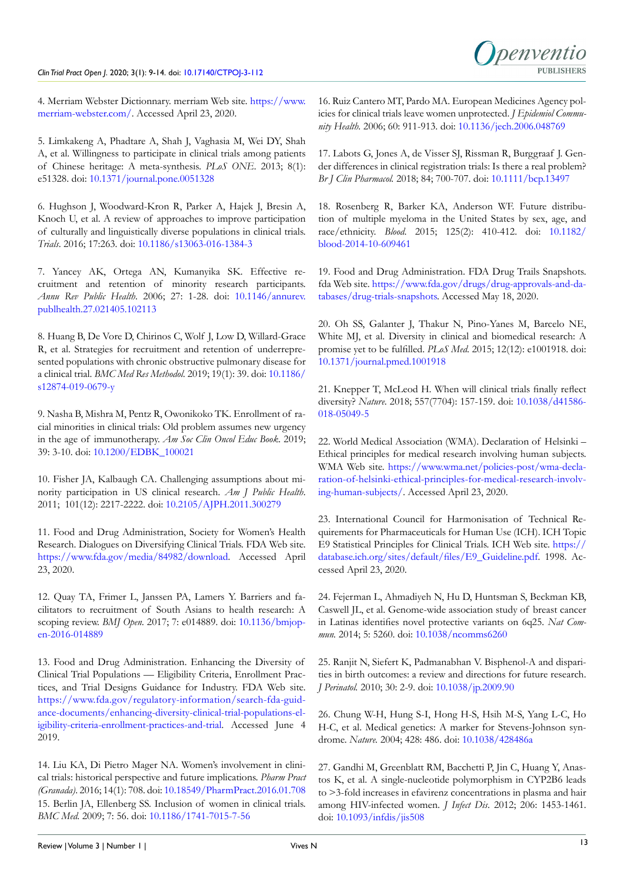<span id="page-4-0"></span>4. Merriam Webster Dictionnary. merriam Web site. [https://www.](https://www.merriam-webster.com/) [merriam-webster.com/.](https://www.merriam-webster.com/) Accessed April 23, 2020.

<span id="page-4-1"></span>5. Limkakeng A, Phadtare A, Shah J, Vaghasia M, Wei DY, Shah A, et al. Willingness to participate in clinical trials among patients of Chinese heritage: A meta-synthesis. *PLoS ONE*. 2013; 8(1): e51328. doi: [10.1371/journal.pone.0051328](https://doi.org/10.1371/journal.pone.0051328)

<span id="page-4-15"></span>6. Hughson J, Woodward-Kron R, Parker A, Hajek J, Bresin A, Knoch U, et al. A review of approaches to improve participation of culturally and linguistically diverse populations in clinical trials. *Trials*. 2016; 17:263. doi: [10.1186/s13063-016-1384-3](https://doi.org/10.1186/s13063-016-1384-3)

<span id="page-4-17"></span>7. Yancey AK, Ortega AN, Kumanyika SK. Effective recruitment and retention of minority research participants. *Annu Rev Public Health*. 2006; 27: 1-28. doi: [10.1146/annurev.](https://doi.org/10.1146/annurev.publhealth.27.021405.102113) [publhealth.27.021405.102113](https://doi.org/10.1146/annurev.publhealth.27.021405.102113)

<span id="page-4-16"></span>8. Huang B, De Vore D, Chirinos C, Wolf J, Low D, Willard-Grace R, et al. Strategies for recruitment and retention of underrepresented populations with chronic obstructive pulmonary disease for a clinical trial. *BMC Med Res Methodol.* 2019; 19(1): 39. doi: [10.1186/](https://doi.org/10.1186/s12874-019-0679-y) [s12874-019-0679-y](https://doi.org/10.1186/s12874-019-0679-y)

<span id="page-4-5"></span>9. Nasha B, Mishra M, Pentz R, Owonikoko TK. Enrollment of racial minorities in clinical trials: Old problem assumes new urgency in the age of immunotherapy. *Am Soc Clin Oncol Educ Book*. 2019; 39: 3-10. doi: [10.1200/EDBK\\_100021](https://doi.org/10.1200/EDBK_100021)

<span id="page-4-9"></span>10. Fisher JA, Kalbaugh CA. Challenging assumptions about minority participation in US clinical research. *Am J Public Health*. 2011; 101(12): 2217-2222. doi: [10.2105/AJPH.2011.300279](https://doi.org/10.2105/AJPH.2011.300279)

<span id="page-4-2"></span>11. Food and Drug Administration, Society for Women's Health Research. Dialogues on Diversifying Clinical Trials. FDA Web site. [https://www.fda.gov/media/84982/download.](https://www.fda.gov/media/84982/download) Accessed April 23, 2020.

12. Quay TA, Frimer L, Janssen PA, Lamers Y. Barriers and facilitators to recruitment of South Asians to health research: A scoping review. *BMJ Open.* 2017; 7: e014889. doi: [10.1136/bmjop](https://doi.org/10.1136/bmjopen-2016-014889)[en-2016-014889](https://doi.org/10.1136/bmjopen-2016-014889)

<span id="page-4-10"></span>13. Food and Drug Administration. Enhancing the Diversity of Clinical Trial Populations — Eligibility Criteria, Enrollment Practices, and Trial Designs Guidance for Industry. FDA Web site. [https://www.fda.gov/regulatory-information/search-fda-guid](https://www.fda.gov/regulatory-information/search-fda-guidance-documents/enhancing-diversity-clinical-trial-populations-eligibility-criteria-enrollment-practices-and-trial)[ance-documents/enhancing-diversity-clinical-trial-populations-el](https://www.fda.gov/regulatory-information/search-fda-guidance-documents/enhancing-diversity-clinical-trial-populations-eligibility-criteria-enrollment-practices-and-trial)[igibility-criteria-enrollment-practices-and-trial](https://www.fda.gov/regulatory-information/search-fda-guidance-documents/enhancing-diversity-clinical-trial-populations-eligibility-criteria-enrollment-practices-and-trial). Accessed June 4 2019.

<span id="page-4-3"></span>14. Liu KA, Di Pietro Mager NA. Women's involvement in clinical trials: historical perspective and future implications. *Pharm Pract (Granada)*. 2016; 14(1): 708. doi: [10.18549/PharmPract.2016.01.708](https://doi.org/10.18549/PharmPract.2016.01.708) 15. Berlin JA, Ellenberg SS. Inclusion of women in clinical trials. *BMC Med*. 2009; 7: 56. doi: [10.1186/1741-7015-7-56](https://doi.org/10.1186/1741-7015-7-56)

16. Ruiz Cantero MT, Pardo MA. European Medicines Agency policies for clinical trials leave women unprotected. *J Epidemiol Community Health.* 2006; 60: 911-913. doi: [10.1136/jech.2006.048769](https://doi.org/10.1136/jech.2006.048769)

<span id="page-4-4"></span>17. Labots G, Jones A, de Visser SJ, Rissman R, Burggraaf J. Gender differences in clinical registration trials: Is there a real problem? *Br J Clin Pharmacol.* 2018; 84; 700-707. doi: [10.1111/bcp.13497](https://doi.org/10.1111/bcp.13497)

<span id="page-4-6"></span>18. Rosenberg R, Barker KA, Anderson WF. Future distribution of multiple myeloma in the United States by sex, age, and race/ethnicity. *Blood*. 2015; 125(2): 410-412. doi: [10.1182/](https://doi.org/10.1182/blood-2014-10-609461) [blood-2014-10-609461](https://doi.org/10.1182/blood-2014-10-609461)

<span id="page-4-7"></span>19. Food and Drug Administration. FDA Drug Trails Snapshots. fda Web site. [https://www.fda.gov/drugs/drug-approvals-and-da](https://www.fda.gov/drugs/drug-approvals-and-databases/drug-trials-snapshots)[tabases/drug-trials-snapshots](https://www.fda.gov/drugs/drug-approvals-and-databases/drug-trials-snapshots). Accessed May 18, 2020.

<span id="page-4-8"></span>20. Oh SS, Galanter J, Thakur N, Pino-Yanes M, Barcelo NE, White MJ, et al. Diversity in clinical and biomedical research: A promise yet to be fulfilled. *PLoS Med*. 2015; 12(12): e1001918. doi: [10.1371/journal.pmed.1001918](https://doi.org/10.1371/journal.pmed.1001918)

<span id="page-4-11"></span>21. Knepper T, McLeod H. When will clinical trials finally reflect diversity? *Nature*. 2018; 557(7704): 157-159. doi: [10.1038/d41586-](https://doi.org/10.1038/d41586-018-05049-5) [018-05049-5](https://doi.org/10.1038/d41586-018-05049-5)

<span id="page-4-12"></span>22. World Medical Association (WMA). Declaration of Helsinki – Ethical principles for medical research involving human subjects. WMA Web site. [https://www.wma.net/policies-post/wma-decla](https://www.wma.net/policies-post/wma-declaration-of-helsinki-ethical-principles-for-medical-research-involving-human-subjects/)[ration-of-helsinki-ethical-principles-for-medical-research-involv](https://www.wma.net/policies-post/wma-declaration-of-helsinki-ethical-principles-for-medical-research-involving-human-subjects/)[ing-human-subjects/.](https://www.wma.net/policies-post/wma-declaration-of-helsinki-ethical-principles-for-medical-research-involving-human-subjects/) Accessed April 23, 2020.

<span id="page-4-13"></span>23. International Council for Harmonisation of Technical Requirements for Pharmaceuticals for Human Use (ICH). ICH Topic E9 Statistical Principles for Clinical Trials. ICH Web site. [https://](https://database.ich.org/sites/default/files/E9_Guideline.pdf) [database.ich.org/sites/default/files/E9\\_Guideline.pdf](https://database.ich.org/sites/default/files/E9_Guideline.pdf). 1998. Accessed April 23, 2020.

<span id="page-4-14"></span>24. Fejerman L, Ahmadiyeh N, Hu D, Huntsman S, Beckman KB, Caswell JL, et al. Genome-wide association study of breast cancer in Latinas identifies novel protective variants on 6q25. *Nat Commun.* 2014; 5: 5260. doi: [10.1038/ncomms6260](https://doi.org/10.1038/ncomms6260)

25. Ranjit N, Siefert K, Padmanabhan V. Bisphenol-A and disparities in birth outcomes: a review and directions for future research. *J Perinatol.* 2010; 30: 2-9. doi: [10.1038/jp.2009.90](https://doi.org/10.1038/jp.2009.90)

26. Chung W-H, Hung S-I, Hong H-S, Hsih M-S, Yang L-C, Ho H-C, et al. Medical genetics: A marker for Stevens-Johnson syndrome. *Nature.* 2004; 428: 486. doi: [10.1038/428486a](https://doi.org/10.1038/428486a)

27. Gandhi M, Greenblatt RM, Bacchetti P, Jin C, Huang Y, Anastos K, et al. A single-nucleotide polymorphism in CYP2B6 leads to >3-fold increases in efavirenz concentrations in plasma and hair among HIV-infected women. *J Infect Dis*. 2012; 206: 1453-1461. doi: [10.1093/infdis/jis508](https://doi.org/10.1093/infdis/jis508)